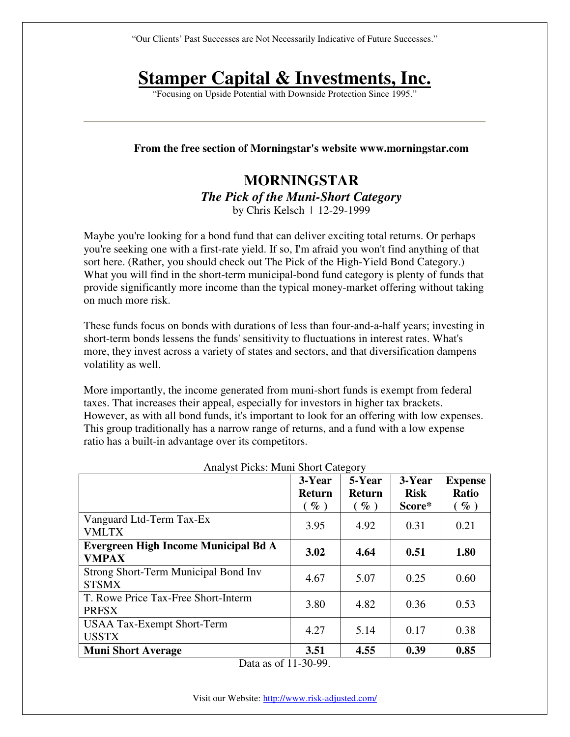"Our Clients' Past Successes are Not Necessarily Indicative of Future Successes."

# **Stamper Capital & Investments, Inc.**

"Focusing on Upside Potential with Downside Protection Since 1995."

#### **From the free section of Morningstar's website www.morningstar.com**

# **MORNINGSTAR**  *The Pick of the Muni-Short Category*  by Chris Kelsch | 12-29-1999

Maybe you're looking for a bond fund that can deliver exciting total returns. Or perhaps you're seeking one with a first-rate yield. If so, I'm afraid you won't find anything of that sort here. (Rather, you should check out The Pick of the High-Yield Bond Category.) What you will find in the short-term municipal-bond fund category is plenty of funds that provide significantly more income than the typical money-market offering without taking on much more risk.

These funds focus on bonds with durations of less than four-and-a-half years; investing in short-term bonds lessens the funds' sensitivity to fluctuations in interest rates. What's more, they invest across a variety of states and sectors, and that diversification dampens volatility as well.

More importantly, the income generated from muni-short funds is exempt from federal taxes. That increases their appeal, especially for investors in higher tax brackets. However, as with all bond funds, it's important to look for an offering with low expenses. This group traditionally has a narrow range of returns, and a fund with a low expense ratio has a built-in advantage over its competitors.

|                                                      | 3-Year<br><b>Return</b><br>$\left(\begin{array}{c} \mathbf{\varphi} \\ \mathbf{0} \end{array}\right)$ | 5-Year<br><b>Return</b><br>$(\%)$ | 3-Year<br><b>Risk</b><br>Score* | <b>Expense</b><br><b>Ratio</b><br>$(\%)$ |
|------------------------------------------------------|-------------------------------------------------------------------------------------------------------|-----------------------------------|---------------------------------|------------------------------------------|
| Vanguard Ltd-Term Tax-Ex<br><b>VMLTX</b>             | 3.95                                                                                                  | 4.92                              | 0.31                            | 0.21                                     |
| Evergreen High Income Municipal Bd A<br><b>VMPAX</b> | 3.02                                                                                                  | 4.64                              | 0.51                            | 1.80                                     |
| Strong Short-Term Municipal Bond Inv<br><b>STSMX</b> | 4.67                                                                                                  | 5.07                              | 0.25                            | 0.60                                     |
| T. Rowe Price Tax-Free Short-Interm<br><b>PRFSX</b>  | 3.80                                                                                                  | 4.82                              | 0.36                            | 0.53                                     |
| <b>USAA Tax-Exempt Short-Term</b><br><b>USSTX</b>    | 4.27                                                                                                  | 5.14                              | 0.17                            | 0.38                                     |
| <b>Muni Short Average</b>                            | 3.51                                                                                                  | 4.55                              | 0.39                            | 0.85                                     |

Analyst Picks: Muni Short Category

Data as of 11-30-99.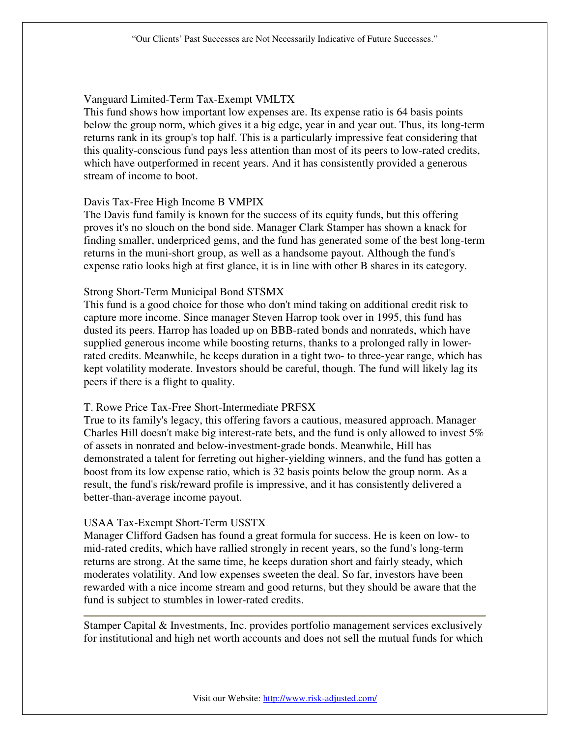## Vanguard Limited-Term Tax-Exempt VMLTX

This fund shows how important low expenses are. Its expense ratio is 64 basis points below the group norm, which gives it a big edge, year in and year out. Thus, its long-term returns rank in its group's top half. This is a particularly impressive feat considering that this quality-conscious fund pays less attention than most of its peers to low-rated credits, which have outperformed in recent years. And it has consistently provided a generous stream of income to boot.

### Davis Tax-Free High Income B VMPIX

The Davis fund family is known for the success of its equity funds, but this offering proves it's no slouch on the bond side. Manager Clark Stamper has shown a knack for finding smaller, underpriced gems, and the fund has generated some of the best long-term returns in the muni-short group, as well as a handsome payout. Although the fund's expense ratio looks high at first glance, it is in line with other B shares in its category.

### Strong Short-Term Municipal Bond STSMX

This fund is a good choice for those who don't mind taking on additional credit risk to capture more income. Since manager Steven Harrop took over in 1995, this fund has dusted its peers. Harrop has loaded up on BBB-rated bonds and nonrateds, which have supplied generous income while boosting returns, thanks to a prolonged rally in lowerrated credits. Meanwhile, he keeps duration in a tight two- to three-year range, which has kept volatility moderate. Investors should be careful, though. The fund will likely lag its peers if there is a flight to quality.

#### T. Rowe Price Tax-Free Short-Intermediate PRFSX

True to its family's legacy, this offering favors a cautious, measured approach. Manager Charles Hill doesn't make big interest-rate bets, and the fund is only allowed to invest  $5\%$ of assets in nonrated and below-investment-grade bonds. Meanwhile, Hill has demonstrated a talent for ferreting out higher-yielding winners, and the fund has gotten a boost from its low expense ratio, which is 32 basis points below the group norm. As a result, the fund's risk/reward profile is impressive, and it has consistently delivered a better-than-average income payout.

#### USAA Tax-Exempt Short-Term USSTX

Manager Clifford Gadsen has found a great formula for success. He is keen on low- to mid-rated credits, which have rallied strongly in recent years, so the fund's long-term returns are strong. At the same time, he keeps duration short and fairly steady, which moderates volatility. And low expenses sweeten the deal. So far, investors have been rewarded with a nice income stream and good returns, but they should be aware that the fund is subject to stumbles in lower-rated credits.

Stamper Capital & Investments, Inc. provides portfolio management services exclusively for institutional and high net worth accounts and does not sell the mutual funds for which